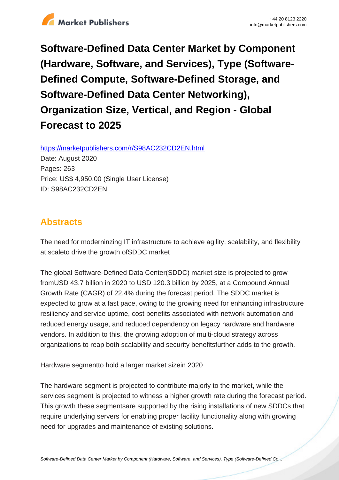

**Software-Defined Data Center Market by Component (Hardware, Software, and Services), Type (Software-Defined Compute, Software-Defined Storage, and Software-Defined Data Center Networking), Organization Size, Vertical, and Region - Global Forecast to 2025**

https://marketpublishers.com/r/S98AC232CD2EN.html

Date: August 2020 Pages: 263 Price: US\$ 4,950.00 (Single User License) ID: S98AC232CD2EN

# **Abstracts**

The need for moderninzing IT infrastructure to achieve agility, scalability, and flexibility at scaleto drive the growth ofSDDC market

The global Software-Defined Data Center(SDDC) market size is projected to grow fromUSD 43.7 billion in 2020 to USD 120.3 billion by 2025, at a Compound Annual Growth Rate (CAGR) of 22.4% during the forecast period. The SDDC market is expected to grow at a fast pace, owing to the growing need for enhancing infrastructure resiliency and service uptime, cost benefits associated with network automation and reduced energy usage, and reduced dependency on legacy hardware and hardware vendors. In addition to this, the growing adoption of multi-cloud strategy across organizations to reap both scalability and security benefitsfurther adds to the growth.

Hardware segmentto hold a larger market sizein 2020

The hardware segment is projected to contribute majorly to the market, while the services segment is projected to witness a higher growth rate during the forecast period. This growth these segmentsare supported by the rising installations of new SDDCs that require underlying servers for enabling proper facility functionality along with growing need for upgrades and maintenance of existing solutions.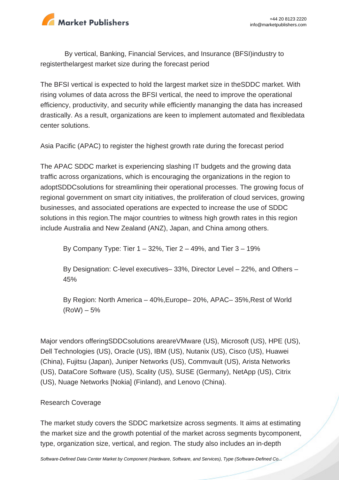

By vertical, Banking, Financial Services, and Insurance (BFSI)industry to registerthelargest market size during the forecast period

The BFSI vertical is expected to hold the largest market size in theSDDC market. With rising volumes of data across the BFSI vertical, the need to improve the operational efficiency, productivity, and security while efficiently mananging the data has increased drastically. As a result, organizations are keen to implement automated and flexibledata center solutions.

Asia Pacific (APAC) to register the highest growth rate during the forecast period

The APAC SDDC market is experiencing slashing IT budgets and the growing data traffic across organizations, which is encouraging the organizations in the region to adoptSDDCsolutions for streamlining their operational processes. The growing focus of regional government on smart city initiatives, the proliferation of cloud services, growing businesses, and associated operations are expected to increase the use of SDDC solutions in this region. The major countries to witness high growth rates in this region include Australia and New Zealand (ANZ), Japan, and China among others.

By Company Type: Tier  $1 - 32\%$ , Tier  $2 - 49\%$ , and Tier  $3 - 19\%$ 

By Designation: C-level executives– 33%, Director Level – 22%, and Others – 45%

By Region: North America – 40%,Europe– 20%, APAC– 35%,Rest of World  $(RoW) - 5%$ 

Major vendors offeringSDDCsolutions areareVMware (US), Microsoft (US), HPE (US), Dell Technologies (US), Oracle (US), IBM (US), Nutanix (US), Cisco (US), Huawei (China), Fujitsu (Japan), Juniper Networks (US), Commvault (US), Arista Networks (US), DataCore Software (US), Scality (US), SUSE (Germany), NetApp (US), Citrix (US), Nuage Networks [Nokia] (Finland), and Lenovo (China).

# Research Coverage

The market study covers the SDDC marketsize across segments. It aims at estimating the market size and the growth potential of the market across segments bycomponent, type, organization size, vertical, and region. The study also includes an in-depth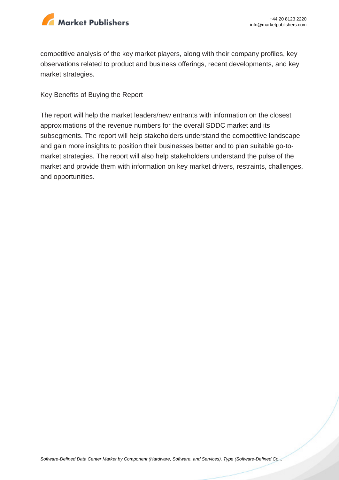

competitive analysis of the key market players, along with their company profiles, key observations related to product and business offerings, recent developments, and key market strategies.

Key Benefits of Buying the Report

The report will help the market leaders/new entrants with information on the closest approximations of the revenue numbers for the overall SDDC market and its subsegments. The report will help stakeholders understand the competitive landscape and gain more insights to position their businesses better and to plan suitable go-tomarket strategies. The report will also help stakeholders understand the pulse of the market and provide them with information on key market drivers, restraints, challenges, and opportunities.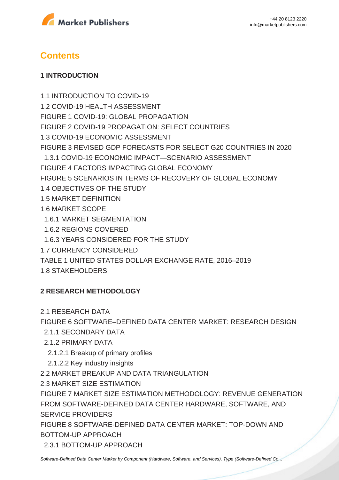



# **Contents**

### **1 INTRODUCTION**

1.1 INTRODUCTION TO COVID-19 1.2 COVID-19 HEALTH ASSESSMENT FIGURE 1 COVID-19: GLOBAL PROPAGATION FIGURE 2 COVID-19 PROPAGATION: SELECT COUNTRIES 1.3 COVID-19 ECONOMIC ASSESSMENT FIGURE 3 REVISED GDP FORECASTS FOR SELECT G20 COUNTRIES IN 2020 1.3.1 COVID-19 ECONOMIC IMPACT—SCENARIO ASSESSMENT FIGURE 4 FACTORS IMPACTING GLOBAL ECONOMY FIGURE 5 SCENARIOS IN TERMS OF RECOVERY OF GLOBAL ECONOMY 1.4 OBJECTIVES OF THE STUDY 1.5 MARKET DEFINITION 1.6 MARKET SCOPE 1.6.1 MARKET SEGMENTATION 1.6.2 REGIONS COVERED 1.6.3 YEARS CONSIDERED FOR THE STUDY 1.7 CURRENCY CONSIDERED

TABLE 1 UNITED STATES DOLLAR EXCHANGE RATE, 2016–2019

1.8 STAKEHOLDERS

# **2 RESEARCH METHODOLOGY**

2.1 RESEARCH DATA

FIGURE 6 SOFTWARE–DEFINED DATA CENTER MARKET: RESEARCH DESIGN

- 2.1.1 SECONDARY DATA
- 2.1.2 PRIMARY DATA
	- 2.1.2.1 Breakup of primary profiles
	- 2.1.2.2 Key industry insights
- 2.2 MARKET BREAKUP AND DATA TRIANGULATION
- 2.3 MARKET SIZE ESTIMATION

FIGURE 7 MARKET SIZE ESTIMATION METHODOLOGY: REVENUE GENERATION FROM SOFTWARE-DEFINED DATA CENTER HARDWARE, SOFTWARE, AND SERVICE PROVIDERS

FIGURE 8 SOFTWARE-DEFINED DATA CENTER MARKET: TOP-DOWN AND BOTTOM-UP APPROACH

2.3.1 BOTTOM-UP APPROACH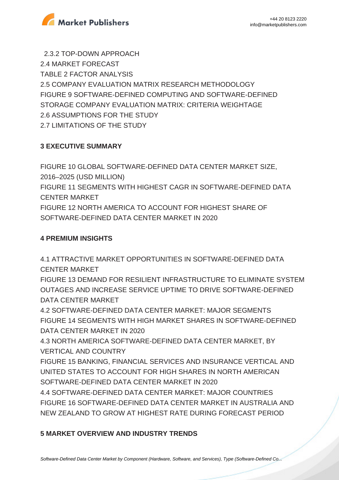

 2.3.2 TOP-DOWN APPROACH 2.4 MARKET FORECAST TABLE 2 FACTOR ANALYSIS 2.5 COMPANY EVALUATION MATRIX RESEARCH METHODOLOGY FIGURE 9 SOFTWARE-DEFINED COMPUTING AND SOFTWARE-DEFINED STORAGE COMPANY EVALUATION MATRIX: CRITERIA WEIGHTAGE 2.6 ASSUMPTIONS FOR THE STUDY 2.7 LIMITATIONS OF THE STUDY

# **3 EXECUTIVE SUMMARY**

FIGURE 10 GLOBAL SOFTWARE-DEFINED DATA CENTER MARKET SIZE, 2016–2025 (USD MILLION) FIGURE 11 SEGMENTS WITH HIGHEST CAGR IN SOFTWARE-DEFINED DATA CENTER MARKET FIGURE 12 NORTH AMERICA TO ACCOUNT FOR HIGHEST SHARE OF SOFTWARE-DEFINED DATA CENTER MARKET IN 2020

# **4 PREMIUM INSIGHTS**

4.1 ATTRACTIVE MARKET OPPORTUNITIES IN SOFTWARE-DEFINED DATA CENTER MARKET

FIGURE 13 DEMAND FOR RESILIENT INFRASTRUCTURE TO ELIMINATE SYSTEM OUTAGES AND INCREASE SERVICE UPTIME TO DRIVE SOFTWARE-DEFINED DATA CENTER MARKET

4.2 SOFTWARE-DEFINED DATA CENTER MARKET: MAJOR SEGMENTS FIGURE 14 SEGMENTS WITH HIGH MARKET SHARES IN SOFTWARE-DEFINED DATA CENTER MARKET IN 2020

4.3 NORTH AMERICA SOFTWARE-DEFINED DATA CENTER MARKET, BY VERTICAL AND COUNTRY

FIGURE 15 BANKING, FINANCIAL SERVICES AND INSURANCE VERTICAL AND UNITED STATES TO ACCOUNT FOR HIGH SHARES IN NORTH AMERICAN SOFTWARE-DEFINED DATA CENTER MARKET IN 2020

4.4 SOFTWARE-DEFINED DATA CENTER MARKET: MAJOR COUNTRIES FIGURE 16 SOFTWARE-DEFINED DATA CENTER MARKET IN AUSTRALIA AND NEW ZEALAND TO GROW AT HIGHEST RATE DURING FORECAST PERIOD

# **5 MARKET OVERVIEW AND INDUSTRY TRENDS**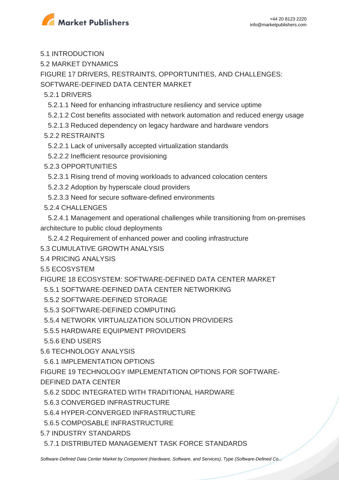

5.1 INTRODUCTION

5.2 MARKET DYNAMICS

FIGURE 17 DRIVERS, RESTRAINTS, OPPORTUNITIES, AND CHALLENGES:

SOFTWARE-DEFINED DATA CENTER MARKET

5.2.1 DRIVERS

5.2.1.1 Need for enhancing infrastructure resiliency and service uptime

5.2.1.2 Cost benefits associated with network automation and reduced energy usage

5.2.1.3 Reduced dependency on legacy hardware and hardware vendors

5.2.2 RESTRAINTS

- 5.2.2.1 Lack of universally accepted virtualization standards
- 5.2.2.2 Inefficient resource provisioning

5.2.3 OPPORTUNITIES

5.2.3.1 Rising trend of moving workloads to advanced colocation centers

5.2.3.2 Adoption by hyperscale cloud providers

5.2.3.3 Need for secure software-defined environments

5.2.4 CHALLENGES

 5.2.4.1 Management and operational challenges while transitioning from on-premises architecture to public cloud deployments

5.2.4.2 Requirement of enhanced power and cooling infrastructure

5.3 CUMULATIVE GROWTH ANALYSIS

5.4 PRICING ANALYSIS

5.5 ECOSYSTEM

FIGURE 18 ECOSYSTEM: SOFTWARE-DEFINED DATA CENTER MARKET

5.5.1 SOFTWARE-DEFINED DATA CENTER NETWORKING

5.5.2 SOFTWARE-DEFINED STORAGE

5.5.3 SOFTWARE-DEFINED COMPUTING

5.5.4 NETWORK VIRTUALIZATION SOLUTION PROVIDERS

5.5.5 HARDWARE EQUIPMENT PROVIDERS

5.5.6 END USERS

5.6 TECHNOLOGY ANALYSIS

5.6.1 IMPLEMENTATION OPTIONS

FIGURE 19 TECHNOLOGY IMPLEMENTATION OPTIONS FOR SOFTWARE-

DEFINED DATA CENTER

5.6.2 SDDC INTEGRATED WITH TRADITIONAL HARDWARE

5.6.3 CONVERGED INFRASTRUCTURE

5.6.4 HYPER-CONVERGED INFRASTRUCTURE

5.6.5 COMPOSABLE INFRASTRUCTURE

5.7 INDUSTRY STANDARDS

5.7.1 DISTRIBUTED MANAGEMENT TASK FORCE STANDARDS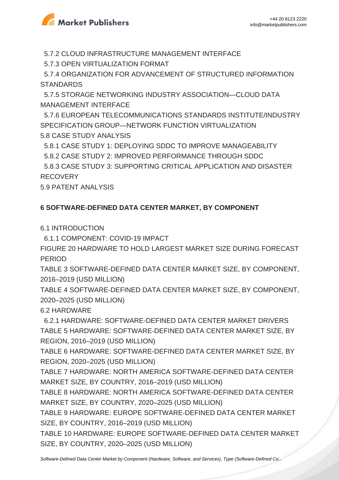

5.7.2 CLOUD INFRASTRUCTURE MANAGEMENT INTERFACE

5.7.3 OPEN VIRTUALIZATION FORMAT

 5.7.4 ORGANIZATION FOR ADVANCEMENT OF STRUCTURED INFORMATION **STANDARDS** 

 5.7.5 STORAGE NETWORKING INDUSTRY ASSOCIATION—CLOUD DATA MANAGEMENT INTERFACE

 5.7.6 EUROPEAN TELECOMMUNICATIONS STANDARDS INSTITUTE/INDUSTRY SPECIFICATION GROUP—NETWORK FUNCTION VIRTUALIZATION 5.8 CASE STUDY ANALYSIS

5.8.1 CASE STUDY 1: DEPLOYING SDDC TO IMPROVE MANAGEABILITY

5.8.2 CASE STUDY 2: IMPROVED PERFORMANCE THROUGH SDDC

 5.8.3 CASE STUDY 3: SUPPORTING CRITICAL APPLICATION AND DISASTER RECOVERY

5.9 PATENT ANALYSIS

# **6 SOFTWARE-DEFINED DATA CENTER MARKET, BY COMPONENT**

6.1 INTRODUCTION

6.1.1 COMPONENT: COVID-19 IMPACT

FIGURE 20 HARDWARE TO HOLD LARGEST MARKET SIZE DURING FORECAST PERIOD

TABLE 3 SOFTWARE-DEFINED DATA CENTER MARKET SIZE, BY COMPONENT, 2016–2019 (USD MILLION)

TABLE 4 SOFTWARE-DEFINED DATA CENTER MARKET SIZE, BY COMPONENT, 2020–2025 (USD MILLION)

# 6.2 HARDWARE

 6.2.1 HARDWARE: SOFTWARE-DEFINED DATA CENTER MARKET DRIVERS TABLE 5 HARDWARE: SOFTWARE-DEFINED DATA CENTER MARKET SIZE, BY REGION, 2016–2019 (USD MILLION)

TABLE 6 HARDWARE: SOFTWARE-DEFINED DATA CENTER MARKET SIZE, BY REGION, 2020–2025 (USD MILLION)

TABLE 7 HARDWARE: NORTH AMERICA SOFTWARE-DEFINED DATA CENTER MARKET SIZE, BY COUNTRY, 2016–2019 (USD MILLION)

TABLE 8 HARDWARE: NORTH AMERICA SOFTWARE-DEFINED DATA CENTER MARKET SIZE, BY COUNTRY, 2020–2025 (USD MILLION)

TABLE 9 HARDWARE: EUROPE SOFTWARE-DEFINED DATA CENTER MARKET SIZE, BY COUNTRY, 2016–2019 (USD MILLION)

TABLE 10 HARDWARE: EUROPE SOFTWARE-DEFINED DATA CENTER MARKET SIZE, BY COUNTRY, 2020–2025 (USD MILLION)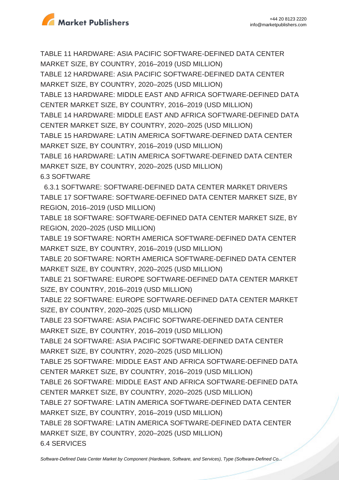

TABLE 11 HARDWARE: ASIA PACIFIC SOFTWARE-DEFINED DATA CENTER MARKET SIZE, BY COUNTRY, 2016–2019 (USD MILLION)

TABLE 12 HARDWARE: ASIA PACIFIC SOFTWARE-DEFINED DATA CENTER MARKET SIZE, BY COUNTRY, 2020–2025 (USD MILLION)

TABLE 13 HARDWARE: MIDDLE EAST AND AFRICA SOFTWARE-DEFINED DATA CENTER MARKET SIZE, BY COUNTRY, 2016–2019 (USD MILLION)

TABLE 14 HARDWARE: MIDDLE EAST AND AFRICA SOFTWARE-DEFINED DATA CENTER MARKET SIZE, BY COUNTRY, 2020–2025 (USD MILLION)

TABLE 15 HARDWARE: LATIN AMERICA SOFTWARE-DEFINED DATA CENTER MARKET SIZE, BY COUNTRY, 2016–2019 (USD MILLION)

TABLE 16 HARDWARE: LATIN AMERICA SOFTWARE-DEFINED DATA CENTER MARKET SIZE, BY COUNTRY, 2020–2025 (USD MILLION)

6.3 SOFTWARE

 6.3.1 SOFTWARE: SOFTWARE-DEFINED DATA CENTER MARKET DRIVERS TABLE 17 SOFTWARE: SOFTWARE-DEFINED DATA CENTER MARKET SIZE, BY REGION, 2016–2019 (USD MILLION)

TABLE 18 SOFTWARE: SOFTWARE-DEFINED DATA CENTER MARKET SIZE, BY REGION, 2020–2025 (USD MILLION)

TABLE 19 SOFTWARE: NORTH AMERICA SOFTWARE-DEFINED DATA CENTER MARKET SIZE, BY COUNTRY, 2016–2019 (USD MILLION)

TABLE 20 SOFTWARE: NORTH AMERICA SOFTWARE-DEFINED DATA CENTER MARKET SIZE, BY COUNTRY, 2020–2025 (USD MILLION)

TABLE 21 SOFTWARE: EUROPE SOFTWARE-DEFINED DATA CENTER MARKET SIZE, BY COUNTRY, 2016–2019 (USD MILLION)

TABLE 22 SOFTWARE: EUROPE SOFTWARE-DEFINED DATA CENTER MARKET SIZE, BY COUNTRY, 2020–2025 (USD MILLION)

TABLE 23 SOFTWARE: ASIA PACIFIC SOFTWARE-DEFINED DATA CENTER MARKET SIZE, BY COUNTRY, 2016–2019 (USD MILLION)

TABLE 24 SOFTWARE: ASIA PACIFIC SOFTWARE-DEFINED DATA CENTER MARKET SIZE, BY COUNTRY, 2020–2025 (USD MILLION)

TABLE 25 SOFTWARE: MIDDLE EAST AND AFRICA SOFTWARE-DEFINED DATA CENTER MARKET SIZE, BY COUNTRY, 2016–2019 (USD MILLION)

TABLE 26 SOFTWARE: MIDDLE EAST AND AFRICA SOFTWARE-DEFINED DATA CENTER MARKET SIZE, BY COUNTRY, 2020–2025 (USD MILLION)

TABLE 27 SOFTWARE: LATIN AMERICA SOFTWARE-DEFINED DATA CENTER MARKET SIZE, BY COUNTRY, 2016–2019 (USD MILLION)

TABLE 28 SOFTWARE: LATIN AMERICA SOFTWARE-DEFINED DATA CENTER MARKET SIZE, BY COUNTRY, 2020–2025 (USD MILLION)

6.4 SERVICES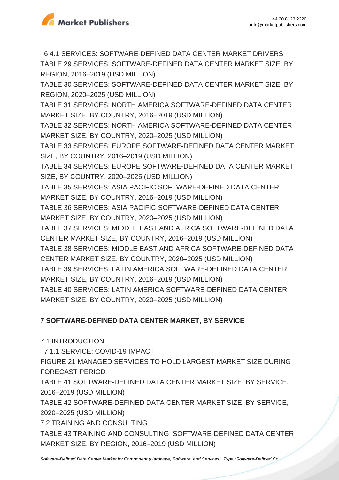

 6.4.1 SERVICES: SOFTWARE-DEFINED DATA CENTER MARKET DRIVERS TABLE 29 SERVICES: SOFTWARE-DEFINED DATA CENTER MARKET SIZE, BY REGION, 2016–2019 (USD MILLION) TABLE 30 SERVICES: SOFTWARE-DEFINED DATA CENTER MARKET SIZE, BY REGION, 2020–2025 (USD MILLION) TABLE 31 SERVICES: NORTH AMERICA SOFTWARE-DEFINED DATA CENTER MARKET SIZE, BY COUNTRY, 2016–2019 (USD MILLION) TABLE 32 SERVICES: NORTH AMERICA SOFTWARE-DEFINED DATA CENTER MARKET SIZE, BY COUNTRY, 2020–2025 (USD MILLION) TABLE 33 SERVICES: EUROPE SOFTWARE-DEFINED DATA CENTER MARKET SIZE, BY COUNTRY, 2016–2019 (USD MILLION) TABLE 34 SERVICES: EUROPE SOFTWARE-DEFINED DATA CENTER MARKET SIZE, BY COUNTRY, 2020–2025 (USD MILLION) TABLE 35 SERVICES: ASIA PACIFIC SOFTWARE-DEFINED DATA CENTER MARKET SIZE, BY COUNTRY, 2016–2019 (USD MILLION) TABLE 36 SERVICES: ASIA PACIFIC SOFTWARE-DEFINED DATA CENTER MARKET SIZE, BY COUNTRY, 2020–2025 (USD MILLION) TABLE 37 SERVICES: MIDDLE EAST AND AFRICA SOFTWARE-DEFINED DATA CENTER MARKET SIZE, BY COUNTRY, 2016–2019 (USD MILLION) TABLE 38 SERVICES: MIDDLE EAST AND AFRICA SOFTWARE-DEFINED DATA CENTER MARKET SIZE, BY COUNTRY, 2020–2025 (USD MILLION) TABLE 39 SERVICES: LATIN AMERICA SOFTWARE-DEFINED DATA CENTER MARKET SIZE, BY COUNTRY, 2016–2019 (USD MILLION) TABLE 40 SERVICES: LATIN AMERICA SOFTWARE-DEFINED DATA CENTER MARKET SIZE, BY COUNTRY, 2020–2025 (USD MILLION)

# **7 SOFTWARE-DEFINED DATA CENTER MARKET, BY SERVICE**

7.1 INTRODUCTION 7.1.1 SERVICE: COVID-19 IMPACT FIGURE 21 MANAGED SERVICES TO HOLD LARGEST MARKET SIZE DURING FORECAST PERIOD TABLE 41 SOFTWARE-DEFINED DATA CENTER MARKET SIZE, BY SERVICE, 2016–2019 (USD MILLION) TABLE 42 SOFTWARE-DEFINED DATA CENTER MARKET SIZE, BY SERVICE, 2020–2025 (USD MILLION) 7.2 TRAINING AND CONSULTING TABLE 43 TRAINING AND CONSULTING: SOFTWARE-DEFINED DATA CENTER MARKET SIZE, BY REGION, 2016–2019 (USD MILLION)

[Software-Defined Data Center Market by Component \(Hardware, Software, and Services\), Type \(Software-Defined Co...](https://marketpublishers.com/report/software/application_software/software-defined-data-center-sddc-market-by-solution.html)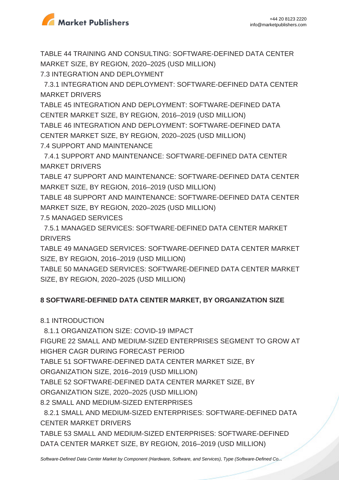

TABLE 44 TRAINING AND CONSULTING: SOFTWARE-DEFINED DATA CENTER MARKET SIZE, BY REGION, 2020–2025 (USD MILLION) 7.3 INTEGRATION AND DEPLOYMENT

 7.3.1 INTEGRATION AND DEPLOYMENT: SOFTWARE-DEFINED DATA CENTER MARKET DRIVERS

TABLE 45 INTEGRATION AND DEPLOYMENT: SOFTWARE-DEFINED DATA CENTER MARKET SIZE, BY REGION, 2016–2019 (USD MILLION) TABLE 46 INTEGRATION AND DEPLOYMENT: SOFTWARE-DEFINED DATA CENTER MARKET SIZE, BY REGION, 2020–2025 (USD MILLION) 7.4 SUPPORT AND MAINTENANCE

 7.4.1 SUPPORT AND MAINTENANCE: SOFTWARE-DEFINED DATA CENTER MARKET DRIVERS

TABLE 47 SUPPORT AND MAINTENANCE: SOFTWARE-DEFINED DATA CENTER MARKET SIZE, BY REGION, 2016–2019 (USD MILLION)

TABLE 48 SUPPORT AND MAINTENANCE: SOFTWARE-DEFINED DATA CENTER MARKET SIZE, BY REGION, 2020–2025 (USD MILLION)

7.5 MANAGED SERVICES

 7.5.1 MANAGED SERVICES: SOFTWARE-DEFINED DATA CENTER MARKET **DRIVERS** 

TABLE 49 MANAGED SERVICES: SOFTWARE-DEFINED DATA CENTER MARKET SIZE, BY REGION, 2016–2019 (USD MILLION)

TABLE 50 MANAGED SERVICES: SOFTWARE-DEFINED DATA CENTER MARKET SIZE, BY REGION, 2020–2025 (USD MILLION)

# **8 SOFTWARE-DEFINED DATA CENTER MARKET, BY ORGANIZATION SIZE**

8.1 INTRODUCTION

8.1.1 ORGANIZATION SIZE: COVID-19 IMPACT

FIGURE 22 SMALL AND MEDIUM-SIZED ENTERPRISES SEGMENT TO GROW AT HIGHER CAGR DURING FORECAST PERIOD

TABLE 51 SOFTWARE-DEFINED DATA CENTER MARKET SIZE, BY

ORGANIZATION SIZE, 2016–2019 (USD MILLION)

TABLE 52 SOFTWARE-DEFINED DATA CENTER MARKET SIZE, BY

ORGANIZATION SIZE, 2020–2025 (USD MILLION)

8.2 SMALL AND MEDIUM-SIZED ENTERPRISES

 8.2.1 SMALL AND MEDIUM-SIZED ENTERPRISES: SOFTWARE-DEFINED DATA CENTER MARKET DRIVERS

TABLE 53 SMALL AND MEDIUM-SIZED ENTERPRISES: SOFTWARE-DEFINED DATA CENTER MARKET SIZE, BY REGION, 2016–2019 (USD MILLION)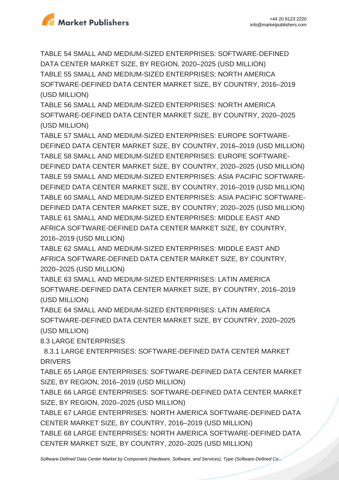

TABLE 54 SMALL AND MEDIUM-SIZED ENTERPRISES: SOFTWARE-DEFINED DATA CENTER MARKET SIZE, BY REGION, 2020–2025 (USD MILLION) TABLE 55 SMALL AND MEDIUM-SIZED ENTERPRISES: NORTH AMERICA SOFTWARE-DEFINED DATA CENTER MARKET SIZE, BY COUNTRY, 2016–2019 (USD MILLION)

TABLE 56 SMALL AND MEDIUM-SIZED ENTERPRISES: NORTH AMERICA SOFTWARE-DEFINED DATA CENTER MARKET SIZE, BY COUNTRY, 2020–2025 (USD MILLION)

TABLE 57 SMALL AND MEDIUM-SIZED ENTERPRISES: EUROPE SOFTWARE-DEFINED DATA CENTER MARKET SIZE, BY COUNTRY, 2016–2019 (USD MILLION) TABLE 58 SMALL AND MEDIUM-SIZED ENTERPRISES: EUROPE SOFTWARE-DEFINED DATA CENTER MARKET SIZE, BY COUNTRY, 2020–2025 (USD MILLION) TABLE 59 SMALL AND MEDIUM-SIZED ENTERPRISES: ASIA PACIFIC SOFTWARE-DEFINED DATA CENTER MARKET SIZE, BY COUNTRY, 2016–2019 (USD MILLION) TABLE 60 SMALL AND MEDIUM-SIZED ENTERPRISES: ASIA PACIFIC SOFTWARE-DEFINED DATA CENTER MARKET SIZE, BY COUNTRY, 2020–2025 (USD MILLION) TABLE 61 SMALL AND MEDIUM-SIZED ENTERPRISES: MIDDLE EAST AND AFRICA SOFTWARE-DEFINED DATA CENTER MARKET SIZE, BY COUNTRY, 2016–2019 (USD MILLION)

TABLE 62 SMALL AND MEDIUM-SIZED ENTERPRISES: MIDDLE EAST AND AFRICA SOFTWARE-DEFINED DATA CENTER MARKET SIZE, BY COUNTRY, 2020–2025 (USD MILLION)

TABLE 63 SMALL AND MEDIUM-SIZED ENTERPRISES: LATIN AMERICA SOFTWARE-DEFINED DATA CENTER MARKET SIZE, BY COUNTRY, 2016–2019 (USD MILLION)

TABLE 64 SMALL AND MEDIUM-SIZED ENTERPRISES: LATIN AMERICA SOFTWARE-DEFINED DATA CENTER MARKET SIZE, BY COUNTRY, 2020–2025 (USD MILLION)

8.3 LARGE ENTERPRISES

 8.3.1 LARGE ENTERPRISES: SOFTWARE-DEFINED DATA CENTER MARKET **DRIVERS** 

TABLE 65 LARGE ENTERPRISES: SOFTWARE-DEFINED DATA CENTER MARKET SIZE, BY REGION, 2016–2019 (USD MILLION)

TABLE 66 LARGE ENTERPRISES: SOFTWARE-DEFINED DATA CENTER MARKET SIZE, BY REGION, 2020–2025 (USD MILLION)

TABLE 67 LARGE ENTERPRISES: NORTH AMERICA SOFTWARE-DEFINED DATA CENTER MARKET SIZE, BY COUNTRY, 2016–2019 (USD MILLION)

TABLE 68 LARGE ENTERPRISES: NORTH AMERICA SOFTWARE-DEFINED DATA CENTER MARKET SIZE, BY COUNTRY, 2020–2025 (USD MILLION)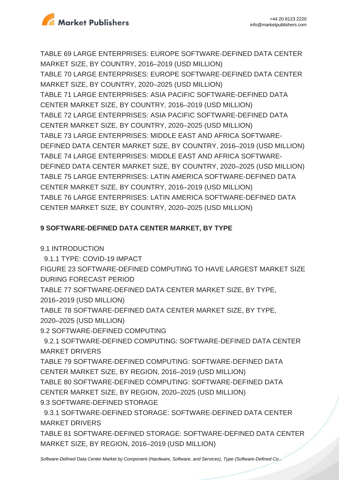

TABLE 69 LARGE ENTERPRISES: EUROPE SOFTWARE-DEFINED DATA CENTER MARKET SIZE, BY COUNTRY, 2016–2019 (USD MILLION)

TABLE 70 LARGE ENTERPRISES: EUROPE SOFTWARE-DEFINED DATA CENTER MARKET SIZE, BY COUNTRY, 2020–2025 (USD MILLION) TABLE 71 LARGE ENTERPRISES: ASIA PACIFIC SOFTWARE-DEFINED DATA CENTER MARKET SIZE, BY COUNTRY, 2016–2019 (USD MILLION) TABLE 72 LARGE ENTERPRISES: ASIA PACIFIC SOFTWARE-DEFINED DATA CENTER MARKET SIZE, BY COUNTRY, 2020–2025 (USD MILLION) TABLE 73 LARGE ENTERPRISES: MIDDLE EAST AND AFRICA SOFTWARE-DEFINED DATA CENTER MARKET SIZE, BY COUNTRY, 2016–2019 (USD MILLION) TABLE 74 LARGE ENTERPRISES: MIDDLE EAST AND AFRICA SOFTWARE-DEFINED DATA CENTER MARKET SIZE, BY COUNTRY, 2020–2025 (USD MILLION) TABLE 75 LARGE ENTERPRISES: LATIN AMERICA SOFTWARE-DEFINED DATA CENTER MARKET SIZE, BY COUNTRY, 2016–2019 (USD MILLION) TABLE 76 LARGE ENTERPRISES: LATIN AMERICA SOFTWARE-DEFINED DATA CENTER MARKET SIZE, BY COUNTRY, 2020–2025 (USD MILLION)

# **9 SOFTWARE-DEFINED DATA CENTER MARKET, BY TYPE**

9.1 INTRODUCTION

9.1.1 TYPE: COVID-19 IMPACT

FIGURE 23 SOFTWARE-DEFINED COMPUTING TO HAVE LARGEST MARKET SIZE DURING FORECAST PERIOD

TABLE 77 SOFTWARE-DEFINED DATA CENTER MARKET SIZE, BY TYPE,

2016–2019 (USD MILLION)

TABLE 78 SOFTWARE-DEFINED DATA CENTER MARKET SIZE, BY TYPE,

2020–2025 (USD MILLION)

9.2 SOFTWARE-DEFINED COMPUTING

 9.2.1 SOFTWARE-DEFINED COMPUTING: SOFTWARE-DEFINED DATA CENTER MARKET DRIVERS

TABLE 79 SOFTWARE-DEFINED COMPUTING: SOFTWARE-DEFINED DATA CENTER MARKET SIZE, BY REGION, 2016–2019 (USD MILLION)

TABLE 80 SOFTWARE-DEFINED COMPUTING: SOFTWARE-DEFINED DATA

CENTER MARKET SIZE, BY REGION, 2020–2025 (USD MILLION)

9.3 SOFTWARE-DEFINED STORAGE

 9.3.1 SOFTWARE-DEFINED STORAGE: SOFTWARE-DEFINED DATA CENTER MARKET DRIVERS

TABLE 81 SOFTWARE-DEFINED STORAGE: SOFTWARE-DEFINED DATA CENTER MARKET SIZE, BY REGION, 2016–2019 (USD MILLION)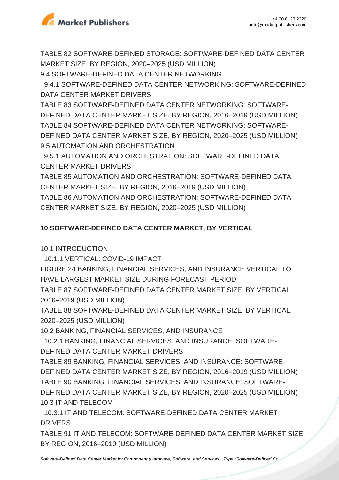

TABLE 82 SOFTWARE-DEFINED STORAGE: SOFTWARE-DEFINED DATA CENTER MARKET SIZE, BY REGION, 2020–2025 (USD MILLION) 9.4 SOFTWARE-DEFINED DATA CENTER NETWORKING

 9.4.1 SOFTWARE-DEFINED DATA CENTER NETWORKING: SOFTWARE-DEFINED DATA CENTER MARKET DRIVERS

TABLE 83 SOFTWARE-DEFINED DATA CENTER NETWORKING: SOFTWARE-DEFINED DATA CENTER MARKET SIZE, BY REGION, 2016–2019 (USD MILLION) TABLE 84 SOFTWARE-DEFINED DATA CENTER NETWORKING: SOFTWARE-DEFINED DATA CENTER MARKET SIZE, BY REGION, 2020–2025 (USD MILLION) 9.5 AUTOMATION AND ORCHESTRATION

 9.5.1 AUTOMATION AND ORCHESTRATION: SOFTWARE-DEFINED DATA CENTER MARKET DRIVERS

TABLE 85 AUTOMATION AND ORCHESTRATION: SOFTWARE-DEFINED DATA CENTER MARKET SIZE, BY REGION, 2016–2019 (USD MILLION) TABLE 86 AUTOMATION AND ORCHESTRATION: SOFTWARE-DEFINED DATA CENTER MARKET SIZE, BY REGION, 2020–2025 (USD MILLION)

# **10 SOFTWARE-DEFINED DATA CENTER MARKET, BY VERTICAL**

10.1 INTRODUCTION

10.1.1 VERTICAL: COVID-19 IMPACT

FIGURE 24 BANKING, FINANCIAL SERVICES, AND INSURANCE VERTICAL TO HAVE LARGEST MARKET SIZE DURING FORECAST PERIOD

TABLE 87 SOFTWARE-DEFINED DATA CENTER MARKET SIZE, BY VERTICAL, 2016–2019 (USD MILLION)

TABLE 88 SOFTWARE-DEFINED DATA CENTER MARKET SIZE, BY VERTICAL, 2020–2025 (USD MILLION)

10.2 BANKING, FINANCIAL SERVICES, AND INSURANCE

 10.2.1 BANKING, FINANCIAL SERVICES, AND INSURANCE: SOFTWARE-DEFINED DATA CENTER MARKET DRIVERS

TABLE 89 BANKING, FINANCIAL SERVICES, AND INSURANCE: SOFTWARE-DEFINED DATA CENTER MARKET SIZE, BY REGION, 2016–2019 (USD MILLION) TABLE 90 BANKING, FINANCIAL SERVICES, AND INSURANCE: SOFTWARE-DEFINED DATA CENTER MARKET SIZE, BY REGION, 2020–2025 (USD MILLION) 10.3 IT AND TELECOM

 10.3.1 IT AND TELECOM: SOFTWARE-DEFINED DATA CENTER MARKET DRIVERS

TABLE 91 IT AND TELECOM: SOFTWARE-DEFINED DATA CENTER MARKET SIZE, BY REGION, 2016–2019 (USD MILLION)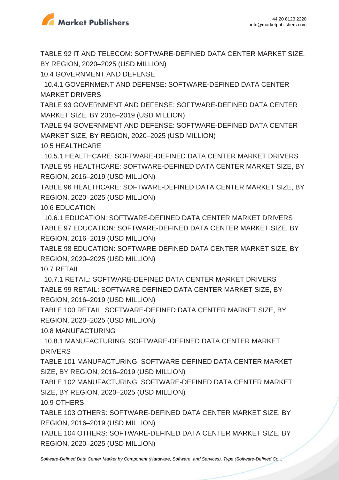

TABLE 92 IT AND TELECOM: SOFTWARE-DEFINED DATA CENTER MARKET SIZE, BY REGION, 2020–2025 (USD MILLION)

10.4 GOVERNMENT AND DEFENSE

 10.4.1 GOVERNMENT AND DEFENSE: SOFTWARE-DEFINED DATA CENTER MARKET DRIVERS

TABLE 93 GOVERNMENT AND DEFENSE: SOFTWARE-DEFINED DATA CENTER MARKET SIZE, BY 2016–2019 (USD MILLION)

TABLE 94 GOVERNMENT AND DEFENSE: SOFTWARE-DEFINED DATA CENTER MARKET SIZE, BY REGION, 2020–2025 (USD MILLION) 10.5 HEALTHCARE

 10.5.1 HEALTHCARE: SOFTWARE-DEFINED DATA CENTER MARKET DRIVERS TABLE 95 HEALTHCARE: SOFTWARE-DEFINED DATA CENTER MARKET SIZE, BY REGION, 2016–2019 (USD MILLION)

TABLE 96 HEALTHCARE: SOFTWARE-DEFINED DATA CENTER MARKET SIZE, BY REGION, 2020–2025 (USD MILLION)

10.6 EDUCATION

 10.6.1 EDUCATION: SOFTWARE-DEFINED DATA CENTER MARKET DRIVERS TABLE 97 EDUCATION: SOFTWARE-DEFINED DATA CENTER MARKET SIZE, BY REGION, 2016–2019 (USD MILLION)

TABLE 98 EDUCATION: SOFTWARE-DEFINED DATA CENTER MARKET SIZE, BY REGION, 2020–2025 (USD MILLION)

10.7 RETAIL

 10.7.1 RETAIL: SOFTWARE-DEFINED DATA CENTER MARKET DRIVERS TABLE 99 RETAIL: SOFTWARE-DEFINED DATA CENTER MARKET SIZE, BY REGION, 2016–2019 (USD MILLION)

TABLE 100 RETAIL: SOFTWARE-DEFINED DATA CENTER MARKET SIZE, BY REGION, 2020–2025 (USD MILLION)

10.8 MANUFACTURING

 10.8.1 MANUFACTURING: SOFTWARE-DEFINED DATA CENTER MARKET DRIVERS

TABLE 101 MANUFACTURING: SOFTWARE-DEFINED DATA CENTER MARKET SIZE, BY REGION, 2016–2019 (USD MILLION)

TABLE 102 MANUFACTURING: SOFTWARE-DEFINED DATA CENTER MARKET SIZE, BY REGION, 2020–2025 (USD MILLION)

10.9 OTHERS

TABLE 103 OTHERS: SOFTWARE-DEFINED DATA CENTER MARKET SIZE, BY REGION, 2016–2019 (USD MILLION)

TABLE 104 OTHERS: SOFTWARE-DEFINED DATA CENTER MARKET SIZE, BY REGION, 2020–2025 (USD MILLION)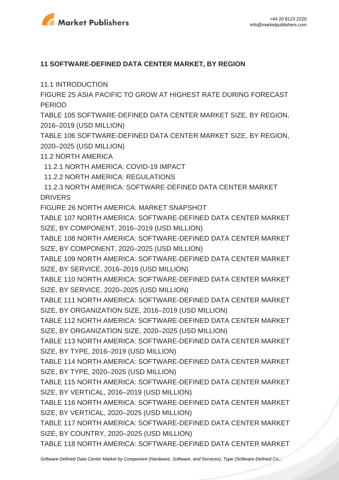

### **11 SOFTWARE-DEFINED DATA CENTER MARKET, BY REGION**

11.1 INTRODUCTION

FIGURE 25 ASIA PACIFIC TO GROW AT HIGHEST RATE DURING FORECAST **PERIOD** 

TABLE 105 SOFTWARE-DEFINED DATA CENTER MARKET SIZE, BY REGION, 2016–2019 (USD MILLION)

TABLE 106 SOFTWARE-DEFINED DATA CENTER MARKET SIZE, BY REGION, 2020–2025 (USD MILLION)

11.2 NORTH AMERICA

11.2.1 NORTH AMERICA: COVID-19 IMPACT

11.2.2 NORTH AMERICA: REGULATIONS

 11.2.3 NORTH AMERICA: SOFTWARE-DEFINED DATA CENTER MARKET **DRIVERS** 

FIGURE 26 NORTH AMERICA: MARKET SNAPSHOT

TABLE 107 NORTH AMERICA: SOFTWARE-DEFINED DATA CENTER MARKET SIZE, BY COMPONENT, 2016–2019 (USD MILLION)

TABLE 108 NORTH AMERICA: SOFTWARE-DEFINED DATA CENTER MARKET SIZE, BY COMPONENT, 2020–2025 (USD MILLION)

TABLE 109 NORTH AMERICA: SOFTWARE-DEFINED DATA CENTER MARKET SIZE, BY SERVICE, 2016–2019 (USD MILLION)

TABLE 110 NORTH AMERICA: SOFTWARE-DEFINED DATA CENTER MARKET SIZE, BY SERVICE, 2020–2025 (USD MILLION)

TABLE 111 NORTH AMERICA: SOFTWARE-DEFINED DATA CENTER MARKET SIZE, BY ORGANIZATION SIZE, 2016–2019 (USD MILLION)

TABLE 112 NORTH AMERICA: SOFTWARE-DEFINED DATA CENTER MARKET SIZE, BY ORGANIZATION SIZE, 2020–2025 (USD MILLION)

TABLE 113 NORTH AMERICA: SOFTWARE-DEFINED DATA CENTER MARKET SIZE, BY TYPE, 2016–2019 (USD MILLION)

TABLE 114 NORTH AMERICA: SOFTWARE-DEFINED DATA CENTER MARKET SIZE, BY TYPE, 2020–2025 (USD MILLION)

TABLE 115 NORTH AMERICA: SOFTWARE-DEFINED DATA CENTER MARKET SIZE, BY VERTICAL, 2016–2019 (USD MILLION)

TABLE 116 NORTH AMERICA: SOFTWARE-DEFINED DATA CENTER MARKET SIZE, BY VERTICAL, 2020–2025 (USD MILLION)

TABLE 117 NORTH AMERICA: SOFTWARE-DEFINED DATA CENTER MARKET SIZE, BY COUNTRY, 2020–2025 (USD MILLION)

TABLE 118 NORTH AMERICA: SOFTWARE-DEFINED DATA CENTER MARKET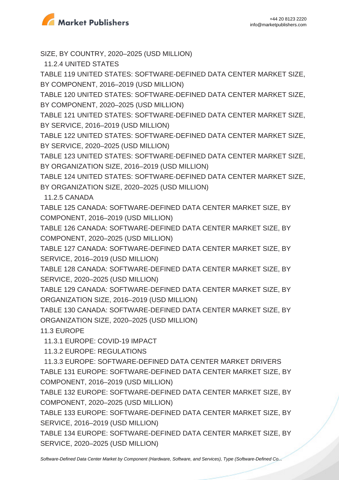

SIZE, BY COUNTRY, 2020–2025 (USD MILLION)

11.2.4 UNITED STATES

TABLE 119 UNITED STATES: SOFTWARE-DEFINED DATA CENTER MARKET SIZE, BY COMPONENT, 2016–2019 (USD MILLION)

TABLE 120 UNITED STATES: SOFTWARE-DEFINED DATA CENTER MARKET SIZE, BY COMPONENT, 2020–2025 (USD MILLION)

TABLE 121 UNITED STATES: SOFTWARE-DEFINED DATA CENTER MARKET SIZE, BY SERVICE, 2016–2019 (USD MILLION)

TABLE 122 UNITED STATES: SOFTWARE-DEFINED DATA CENTER MARKET SIZE, BY SERVICE, 2020–2025 (USD MILLION)

TABLE 123 UNITED STATES: SOFTWARE-DEFINED DATA CENTER MARKET SIZE, BY ORGANIZATION SIZE, 2016–2019 (USD MILLION)

TABLE 124 UNITED STATES: SOFTWARE-DEFINED DATA CENTER MARKET SIZE, BY ORGANIZATION SIZE, 2020–2025 (USD MILLION)

11.2.5 CANADA

TABLE 125 CANADA: SOFTWARE-DEFINED DATA CENTER MARKET SIZE, BY COMPONENT, 2016–2019 (USD MILLION)

TABLE 126 CANADA: SOFTWARE-DEFINED DATA CENTER MARKET SIZE, BY COMPONENT, 2020–2025 (USD MILLION)

TABLE 127 CANADA: SOFTWARE-DEFINED DATA CENTER MARKET SIZE, BY SERVICE, 2016–2019 (USD MILLION)

TABLE 128 CANADA: SOFTWARE-DEFINED DATA CENTER MARKET SIZE, BY SERVICE, 2020–2025 (USD MILLION)

TABLE 129 CANADA: SOFTWARE-DEFINED DATA CENTER MARKET SIZE, BY ORGANIZATION SIZE, 2016–2019 (USD MILLION)

TABLE 130 CANADA: SOFTWARE-DEFINED DATA CENTER MARKET SIZE, BY ORGANIZATION SIZE, 2020–2025 (USD MILLION)

11.3 EUROPE

11.3.1 EUROPE: COVID-19 IMPACT

11.3.2 EUROPE: REGULATIONS

 11.3.3 EUROPE: SOFTWARE-DEFINED DATA CENTER MARKET DRIVERS TABLE 131 EUROPE: SOFTWARE-DEFINED DATA CENTER MARKET SIZE, BY COMPONENT, 2016–2019 (USD MILLION)

TABLE 132 EUROPE: SOFTWARE-DEFINED DATA CENTER MARKET SIZE, BY COMPONENT, 2020–2025 (USD MILLION)

TABLE 133 EUROPE: SOFTWARE-DEFINED DATA CENTER MARKET SIZE, BY SERVICE, 2016–2019 (USD MILLION)

TABLE 134 EUROPE: SOFTWARE-DEFINED DATA CENTER MARKET SIZE, BY SERVICE, 2020–2025 (USD MILLION)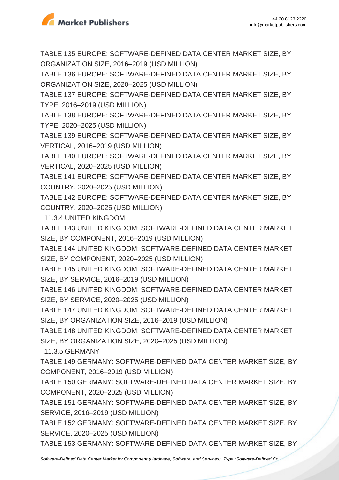

TABLE 135 EUROPE: SOFTWARE-DEFINED DATA CENTER MARKET SIZE, BY ORGANIZATION SIZE, 2016–2019 (USD MILLION)

TABLE 136 EUROPE: SOFTWARE-DEFINED DATA CENTER MARKET SIZE, BY ORGANIZATION SIZE, 2020–2025 (USD MILLION)

TABLE 137 EUROPE: SOFTWARE-DEFINED DATA CENTER MARKET SIZE, BY TYPE, 2016–2019 (USD MILLION)

TABLE 138 EUROPE: SOFTWARE-DEFINED DATA CENTER MARKET SIZE, BY TYPE, 2020–2025 (USD MILLION)

TABLE 139 EUROPE: SOFTWARE-DEFINED DATA CENTER MARKET SIZE, BY VERTICAL, 2016–2019 (USD MILLION)

TABLE 140 EUROPE: SOFTWARE-DEFINED DATA CENTER MARKET SIZE, BY VERTICAL, 2020–2025 (USD MILLION)

TABLE 141 EUROPE: SOFTWARE-DEFINED DATA CENTER MARKET SIZE, BY COUNTRY, 2020–2025 (USD MILLION)

TABLE 142 EUROPE: SOFTWARE-DEFINED DATA CENTER MARKET SIZE, BY COUNTRY, 2020–2025 (USD MILLION)

11.3.4 UNITED KINGDOM

TABLE 143 UNITED KINGDOM: SOFTWARE-DEFINED DATA CENTER MARKET SIZE, BY COMPONENT, 2016–2019 (USD MILLION)

TABLE 144 UNITED KINGDOM: SOFTWARE-DEFINED DATA CENTER MARKET SIZE, BY COMPONENT, 2020–2025 (USD MILLION)

TABLE 145 UNITED KINGDOM: SOFTWARE-DEFINED DATA CENTER MARKET SIZE, BY SERVICE, 2016–2019 (USD MILLION)

TABLE 146 UNITED KINGDOM: SOFTWARE-DEFINED DATA CENTER MARKET SIZE, BY SERVICE, 2020–2025 (USD MILLION)

TABLE 147 UNITED KINGDOM: SOFTWARE-DEFINED DATA CENTER MARKET SIZE, BY ORGANIZATION SIZE, 2016–2019 (USD MILLION)

TABLE 148 UNITED KINGDOM: SOFTWARE-DEFINED DATA CENTER MARKET SIZE, BY ORGANIZATION SIZE, 2020–2025 (USD MILLION)

11.3.5 GERMANY

TABLE 149 GERMANY: SOFTWARE-DEFINED DATA CENTER MARKET SIZE, BY COMPONENT, 2016–2019 (USD MILLION)

TABLE 150 GERMANY: SOFTWARE-DEFINED DATA CENTER MARKET SIZE, BY COMPONENT, 2020–2025 (USD MILLION)

TABLE 151 GERMANY: SOFTWARE-DEFINED DATA CENTER MARKET SIZE, BY SERVICE, 2016–2019 (USD MILLION)

TABLE 152 GERMANY: SOFTWARE-DEFINED DATA CENTER MARKET SIZE, BY SERVICE, 2020–2025 (USD MILLION)

TABLE 153 GERMANY: SOFTWARE-DEFINED DATA CENTER MARKET SIZE, BY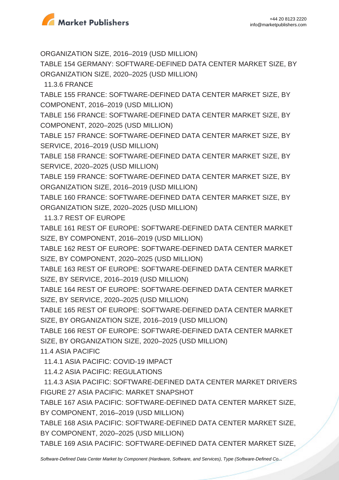

ORGANIZATION SIZE, 2016–2019 (USD MILLION)

TABLE 154 GERMANY: SOFTWARE-DEFINED DATA CENTER MARKET SIZE, BY ORGANIZATION SIZE, 2020–2025 (USD MILLION)

11.3.6 FRANCE

TABLE 155 FRANCE: SOFTWARE-DEFINED DATA CENTER MARKET SIZE, BY COMPONENT, 2016–2019 (USD MILLION)

TABLE 156 FRANCE: SOFTWARE-DEFINED DATA CENTER MARKET SIZE, BY COMPONENT, 2020–2025 (USD MILLION)

TABLE 157 FRANCE: SOFTWARE-DEFINED DATA CENTER MARKET SIZE, BY SERVICE, 2016–2019 (USD MILLION)

TABLE 158 FRANCE: SOFTWARE-DEFINED DATA CENTER MARKET SIZE, BY SERVICE, 2020–2025 (USD MILLION)

TABLE 159 FRANCE: SOFTWARE-DEFINED DATA CENTER MARKET SIZE, BY ORGANIZATION SIZE, 2016–2019 (USD MILLION)

TABLE 160 FRANCE: SOFTWARE-DEFINED DATA CENTER MARKET SIZE, BY ORGANIZATION SIZE, 2020–2025 (USD MILLION)

11.3.7 REST OF EUROPE

TABLE 161 REST OF EUROPE: SOFTWARE-DEFINED DATA CENTER MARKET SIZE, BY COMPONENT, 2016–2019 (USD MILLION)

TABLE 162 REST OF EUROPE: SOFTWARE-DEFINED DATA CENTER MARKET SIZE, BY COMPONENT, 2020–2025 (USD MILLION)

TABLE 163 REST OF EUROPE: SOFTWARE-DEFINED DATA CENTER MARKET SIZE, BY SERVICE, 2016–2019 (USD MILLION)

TABLE 164 REST OF EUROPE: SOFTWARE-DEFINED DATA CENTER MARKET SIZE, BY SERVICE, 2020–2025 (USD MILLION)

TABLE 165 REST OF EUROPE: SOFTWARE-DEFINED DATA CENTER MARKET SIZE, BY ORGANIZATION SIZE, 2016–2019 (USD MILLION)

TABLE 166 REST OF EUROPE: SOFTWARE-DEFINED DATA CENTER MARKET SIZE, BY ORGANIZATION SIZE, 2020–2025 (USD MILLION)

11.4 ASIA PACIFIC

11.4.1 ASIA PACIFIC: COVID-19 IMPACT

11.4.2 ASIA PACIFIC: REGULATIONS

 11.4.3 ASIA PACIFIC: SOFTWARE-DEFINED DATA CENTER MARKET DRIVERS FIGURE 27 ASIA PACIFIC: MARKET SNAPSHOT

TABLE 167 ASIA PACIFIC: SOFTWARE-DEFINED DATA CENTER MARKET SIZE, BY COMPONENT, 2016–2019 (USD MILLION)

TABLE 168 ASIA PACIFIC: SOFTWARE-DEFINED DATA CENTER MARKET SIZE, BY COMPONENT, 2020–2025 (USD MILLION)

TABLE 169 ASIA PACIFIC: SOFTWARE-DEFINED DATA CENTER MARKET SIZE,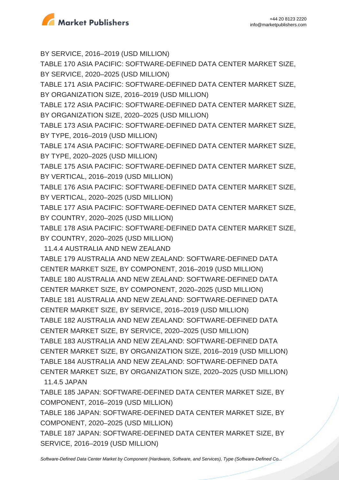

BY SERVICE, 2016–2019 (USD MILLION)

TABLE 170 ASIA PACIFIC: SOFTWARE-DEFINED DATA CENTER MARKET SIZE, BY SERVICE, 2020–2025 (USD MILLION)

TABLE 171 ASIA PACIFIC: SOFTWARE-DEFINED DATA CENTER MARKET SIZE, BY ORGANIZATION SIZE, 2016–2019 (USD MILLION)

TABLE 172 ASIA PACIFIC: SOFTWARE-DEFINED DATA CENTER MARKET SIZE, BY ORGANIZATION SIZE, 2020–2025 (USD MILLION)

TABLE 173 ASIA PACIFIC: SOFTWARE-DEFINED DATA CENTER MARKET SIZE, BY TYPE, 2016–2019 (USD MILLION)

TABLE 174 ASIA PACIFIC: SOFTWARE-DEFINED DATA CENTER MARKET SIZE, BY TYPE, 2020–2025 (USD MILLION)

TABLE 175 ASIA PACIFIC: SOFTWARE-DEFINED DATA CENTER MARKET SIZE, BY VERTICAL, 2016–2019 (USD MILLION)

TABLE 176 ASIA PACIFIC: SOFTWARE-DEFINED DATA CENTER MARKET SIZE, BY VERTICAL, 2020–2025 (USD MILLION)

TABLE 177 ASIA PACIFIC: SOFTWARE-DEFINED DATA CENTER MARKET SIZE, BY COUNTRY, 2020–2025 (USD MILLION)

TABLE 178 ASIA PACIFIC: SOFTWARE-DEFINED DATA CENTER MARKET SIZE, BY COUNTRY, 2020–2025 (USD MILLION)

11.4.4 AUSTRALIA AND NEW ZEALAND

TABLE 179 AUSTRALIA AND NEW ZEALAND: SOFTWARE-DEFINED DATA CENTER MARKET SIZE, BY COMPONENT, 2016–2019 (USD MILLION) TABLE 180 AUSTRALIA AND NEW ZEALAND: SOFTWARE-DEFINED DATA CENTER MARKET SIZE, BY COMPONENT, 2020–2025 (USD MILLION) TABLE 181 AUSTRALIA AND NEW ZEALAND: SOFTWARE-DEFINED DATA CENTER MARKET SIZE, BY SERVICE, 2016–2019 (USD MILLION) TABLE 182 AUSTRALIA AND NEW ZEALAND: SOFTWARE-DEFINED DATA CENTER MARKET SIZE, BY SERVICE, 2020–2025 (USD MILLION) TABLE 183 AUSTRALIA AND NEW ZEALAND: SOFTWARE-DEFINED DATA CENTER MARKET SIZE, BY ORGANIZATION SIZE, 2016–2019 (USD MILLION) TABLE 184 AUSTRALIA AND NEW ZEALAND: SOFTWARE-DEFINED DATA CENTER MARKET SIZE, BY ORGANIZATION SIZE, 2020–2025 (USD MILLION) 11.4.5 JAPAN

TABLE 185 JAPAN: SOFTWARE-DEFINED DATA CENTER MARKET SIZE, BY COMPONENT, 2016–2019 (USD MILLION)

TABLE 186 JAPAN: SOFTWARE-DEFINED DATA CENTER MARKET SIZE, BY COMPONENT, 2020–2025 (USD MILLION)

TABLE 187 JAPAN: SOFTWARE-DEFINED DATA CENTER MARKET SIZE, BY SERVICE, 2016–2019 (USD MILLION)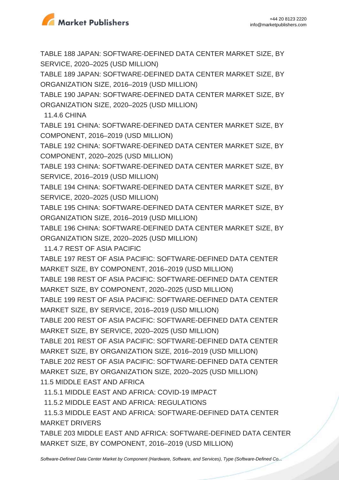

TABLE 188 JAPAN: SOFTWARE-DEFINED DATA CENTER MARKET SIZE, BY SERVICE, 2020–2025 (USD MILLION)

TABLE 189 JAPAN: SOFTWARE-DEFINED DATA CENTER MARKET SIZE, BY ORGANIZATION SIZE, 2016–2019 (USD MILLION)

TABLE 190 JAPAN: SOFTWARE-DEFINED DATA CENTER MARKET SIZE, BY ORGANIZATION SIZE, 2020–2025 (USD MILLION)

11.4.6 CHINA

TABLE 191 CHINA: SOFTWARE-DEFINED DATA CENTER MARKET SIZE, BY COMPONENT, 2016–2019 (USD MILLION)

TABLE 192 CHINA: SOFTWARE-DEFINED DATA CENTER MARKET SIZE, BY COMPONENT, 2020–2025 (USD MILLION)

TABLE 193 CHINA: SOFTWARE-DEFINED DATA CENTER MARKET SIZE, BY SERVICE, 2016–2019 (USD MILLION)

TABLE 194 CHINA: SOFTWARE-DEFINED DATA CENTER MARKET SIZE, BY SERVICE, 2020–2025 (USD MILLION)

TABLE 195 CHINA: SOFTWARE-DEFINED DATA CENTER MARKET SIZE, BY ORGANIZATION SIZE, 2016–2019 (USD MILLION)

TABLE 196 CHINA: SOFTWARE-DEFINED DATA CENTER MARKET SIZE, BY ORGANIZATION SIZE, 2020–2025 (USD MILLION)

11.4.7 REST OF ASIA PACIFIC

TABLE 197 REST OF ASIA PACIFIC: SOFTWARE-DEFINED DATA CENTER MARKET SIZE, BY COMPONENT, 2016–2019 (USD MILLION)

TABLE 198 REST OF ASIA PACIFIC: SOFTWARE-DEFINED DATA CENTER MARKET SIZE, BY COMPONENT, 2020–2025 (USD MILLION)

TABLE 199 REST OF ASIA PACIFIC: SOFTWARE-DEFINED DATA CENTER MARKET SIZE, BY SERVICE, 2016–2019 (USD MILLION)

TABLE 200 REST OF ASIA PACIFIC: SOFTWARE-DEFINED DATA CENTER MARKET SIZE, BY SERVICE, 2020–2025 (USD MILLION)

TABLE 201 REST OF ASIA PACIFIC: SOFTWARE-DEFINED DATA CENTER MARKET SIZE, BY ORGANIZATION SIZE, 2016–2019 (USD MILLION) TABLE 202 REST OF ASIA PACIFIC: SOFTWARE-DEFINED DATA CENTER MARKET SIZE, BY ORGANIZATION SIZE, 2020–2025 (USD MILLION) 11.5 MIDDLE EAST AND AFRICA

11.5.1 MIDDLE EAST AND AFRICA: COVID-19 IMPACT

11.5.2 MIDDLE EAST AND AFRICA: REGULATIONS

 11.5.3 MIDDLE EAST AND AFRICA: SOFTWARE-DEFINED DATA CENTER MARKET DRIVERS

TABLE 203 MIDDLE EAST AND AFRICA: SOFTWARE-DEFINED DATA CENTER MARKET SIZE, BY COMPONENT, 2016–2019 (USD MILLION)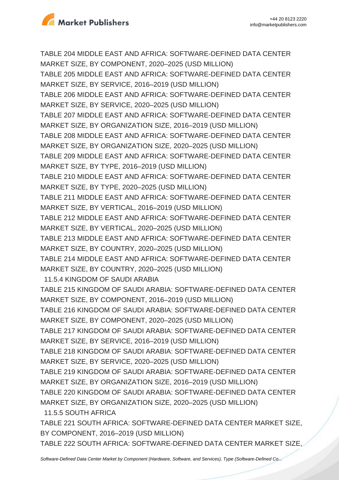

TABLE 204 MIDDLE EAST AND AFRICA: SOFTWARE-DEFINED DATA CENTER MARKET SIZE, BY COMPONENT, 2020–2025 (USD MILLION)

TABLE 205 MIDDLE EAST AND AFRICA: SOFTWARE-DEFINED DATA CENTER MARKET SIZE, BY SERVICE, 2016–2019 (USD MILLION)

TABLE 206 MIDDLE EAST AND AFRICA: SOFTWARE-DEFINED DATA CENTER MARKET SIZE, BY SERVICE, 2020–2025 (USD MILLION)

TABLE 207 MIDDLE EAST AND AFRICA: SOFTWARE-DEFINED DATA CENTER MARKET SIZE, BY ORGANIZATION SIZE, 2016–2019 (USD MILLION)

TABLE 208 MIDDLE EAST AND AFRICA: SOFTWARE-DEFINED DATA CENTER MARKET SIZE, BY ORGANIZATION SIZE, 2020–2025 (USD MILLION)

TABLE 209 MIDDLE EAST AND AFRICA: SOFTWARE-DEFINED DATA CENTER MARKET SIZE, BY TYPE, 2016–2019 (USD MILLION)

TABLE 210 MIDDLE EAST AND AFRICA: SOFTWARE-DEFINED DATA CENTER MARKET SIZE, BY TYPE, 2020–2025 (USD MILLION)

TABLE 211 MIDDLE EAST AND AFRICA: SOFTWARE-DEFINED DATA CENTER MARKET SIZE, BY VERTICAL, 2016–2019 (USD MILLION)

TABLE 212 MIDDLE EAST AND AFRICA: SOFTWARE-DEFINED DATA CENTER MARKET SIZE, BY VERTICAL, 2020–2025 (USD MILLION)

TABLE 213 MIDDLE EAST AND AFRICA: SOFTWARE-DEFINED DATA CENTER MARKET SIZE, BY COUNTRY, 2020–2025 (USD MILLION)

TABLE 214 MIDDLE EAST AND AFRICA: SOFTWARE-DEFINED DATA CENTER MARKET SIZE, BY COUNTRY, 2020–2025 (USD MILLION)

11.5.4 KINGDOM OF SAUDI ARABIA

TABLE 215 KINGDOM OF SAUDI ARABIA: SOFTWARE-DEFINED DATA CENTER MARKET SIZE, BY COMPONENT, 2016–2019 (USD MILLION)

TABLE 216 KINGDOM OF SAUDI ARABIA: SOFTWARE-DEFINED DATA CENTER MARKET SIZE, BY COMPONENT, 2020–2025 (USD MILLION)

TABLE 217 KINGDOM OF SAUDI ARABIA: SOFTWARE-DEFINED DATA CENTER MARKET SIZE, BY SERVICE, 2016–2019 (USD MILLION)

TABLE 218 KINGDOM OF SAUDI ARABIA: SOFTWARE-DEFINED DATA CENTER MARKET SIZE, BY SERVICE, 2020–2025 (USD MILLION)

TABLE 219 KINGDOM OF SAUDI ARABIA: SOFTWARE-DEFINED DATA CENTER MARKET SIZE, BY ORGANIZATION SIZE, 2016–2019 (USD MILLION)

TABLE 220 KINGDOM OF SAUDI ARABIA: SOFTWARE-DEFINED DATA CENTER MARKET SIZE, BY ORGANIZATION SIZE, 2020–2025 (USD MILLION)

11.5.5 SOUTH AFRICA

TABLE 221 SOUTH AFRICA: SOFTWARE-DEFINED DATA CENTER MARKET SIZE, BY COMPONENT, 2016–2019 (USD MILLION)

TABLE 222 SOUTH AFRICA: SOFTWARE-DEFINED DATA CENTER MARKET SIZE,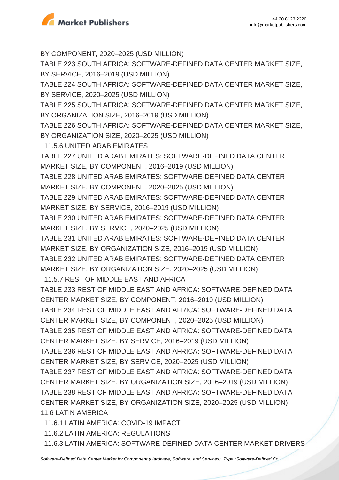

BY COMPONENT, 2020–2025 (USD MILLION) TABLE 223 SOUTH AFRICA: SOFTWARE-DEFINED DATA CENTER MARKET SIZE, BY SERVICE, 2016–2019 (USD MILLION) TABLE 224 SOUTH AFRICA: SOFTWARE-DEFINED DATA CENTER MARKET SIZE, BY SERVICE, 2020–2025 (USD MILLION) TABLE 225 SOUTH AFRICA: SOFTWARE-DEFINED DATA CENTER MARKET SIZE, BY ORGANIZATION SIZE, 2016–2019 (USD MILLION) TABLE 226 SOUTH AFRICA: SOFTWARE-DEFINED DATA CENTER MARKET SIZE, BY ORGANIZATION SIZE, 2020–2025 (USD MILLION) 11.5.6 UNITED ARAB EMIRATES TABLE 227 UNITED ARAB EMIRATES: SOFTWARE-DEFINED DATA CENTER MARKET SIZE, BY COMPONENT, 2016–2019 (USD MILLION) TABLE 228 UNITED ARAB EMIRATES: SOFTWARE-DEFINED DATA CENTER MARKET SIZE, BY COMPONENT, 2020–2025 (USD MILLION) TABLE 229 UNITED ARAB EMIRATES: SOFTWARE-DEFINED DATA CENTER MARKET SIZE, BY SERVICE, 2016–2019 (USD MILLION) TABLE 230 UNITED ARAB EMIRATES: SOFTWARE-DEFINED DATA CENTER MARKET SIZE, BY SERVICE, 2020–2025 (USD MILLION) TABLE 231 UNITED ARAB EMIRATES: SOFTWARE-DEFINED DATA CENTER MARKET SIZE, BY ORGANIZATION SIZE, 2016–2019 (USD MILLION) TABLE 232 UNITED ARAB EMIRATES: SOFTWARE-DEFINED DATA CENTER MARKET SIZE, BY ORGANIZATION SIZE, 2020–2025 (USD MILLION) 11.5.7 REST OF MIDDLE EAST AND AFRICA TABLE 233 REST OF MIDDLE EAST AND AFRICA: SOFTWARE-DEFINED DATA CENTER MARKET SIZE, BY COMPONENT, 2016–2019 (USD MILLION) TABLE 234 REST OF MIDDLE EAST AND AFRICA: SOFTWARE-DEFINED DATA CENTER MARKET SIZE, BY COMPONENT, 2020–2025 (USD MILLION) TABLE 235 REST OF MIDDLE EAST AND AFRICA: SOFTWARE-DEFINED DATA CENTER MARKET SIZE, BY SERVICE, 2016–2019 (USD MILLION) TABLE 236 REST OF MIDDLE EAST AND AFRICA: SOFTWARE-DEFINED DATA CENTER MARKET SIZE, BY SERVICE, 2020–2025 (USD MILLION)

TABLE 237 REST OF MIDDLE EAST AND AFRICA: SOFTWARE-DEFINED DATA CENTER MARKET SIZE, BY ORGANIZATION SIZE, 2016–2019 (USD MILLION) TABLE 238 REST OF MIDDLE EAST AND AFRICA: SOFTWARE-DEFINED DATA CENTER MARKET SIZE, BY ORGANIZATION SIZE, 2020–2025 (USD MILLION) 11.6 LATIN AMERICA

11.6.1 LATIN AMERICA: COVID-19 IMPACT

11.6.2 LATIN AMERICA: REGULATIONS

11.6.3 LATIN AMERICA: SOFTWARE-DEFINED DATA CENTER MARKET DRIVERS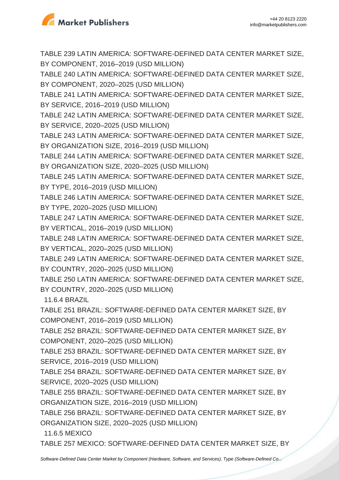

TABLE 239 LATIN AMERICA: SOFTWARE-DEFINED DATA CENTER MARKET SIZE, BY COMPONENT, 2016–2019 (USD MILLION)

TABLE 240 LATIN AMERICA: SOFTWARE-DEFINED DATA CENTER MARKET SIZE, BY COMPONENT, 2020–2025 (USD MILLION)

TABLE 241 LATIN AMERICA: SOFTWARE-DEFINED DATA CENTER MARKET SIZE, BY SERVICE, 2016–2019 (USD MILLION)

TABLE 242 LATIN AMERICA: SOFTWARE-DEFINED DATA CENTER MARKET SIZE, BY SERVICE, 2020–2025 (USD MILLION)

TABLE 243 LATIN AMERICA: SOFTWARE-DEFINED DATA CENTER MARKET SIZE, BY ORGANIZATION SIZE, 2016–2019 (USD MILLION)

TABLE 244 LATIN AMERICA: SOFTWARE-DEFINED DATA CENTER MARKET SIZE, BY ORGANIZATION SIZE, 2020–2025 (USD MILLION)

TABLE 245 LATIN AMERICA: SOFTWARE-DEFINED DATA CENTER MARKET SIZE, BY TYPE, 2016–2019 (USD MILLION)

TABLE 246 LATIN AMERICA: SOFTWARE-DEFINED DATA CENTER MARKET SIZE, BY TYPE, 2020–2025 (USD MILLION)

TABLE 247 LATIN AMERICA: SOFTWARE-DEFINED DATA CENTER MARKET SIZE, BY VERTICAL, 2016–2019 (USD MILLION)

TABLE 248 LATIN AMERICA: SOFTWARE-DEFINED DATA CENTER MARKET SIZE, BY VERTICAL, 2020–2025 (USD MILLION)

TABLE 249 LATIN AMERICA: SOFTWARE-DEFINED DATA CENTER MARKET SIZE, BY COUNTRY, 2020–2025 (USD MILLION)

TABLE 250 LATIN AMERICA: SOFTWARE-DEFINED DATA CENTER MARKET SIZE, BY COUNTRY, 2020–2025 (USD MILLION)

11.6.4 BRAZIL

TABLE 251 BRAZIL: SOFTWARE-DEFINED DATA CENTER MARKET SIZE, BY COMPONENT, 2016–2019 (USD MILLION)

TABLE 252 BRAZIL: SOFTWARE-DEFINED DATA CENTER MARKET SIZE, BY COMPONENT, 2020–2025 (USD MILLION)

TABLE 253 BRAZIL: SOFTWARE-DEFINED DATA CENTER MARKET SIZE, BY SERVICE, 2016–2019 (USD MILLION)

TABLE 254 BRAZIL: SOFTWARE-DEFINED DATA CENTER MARKET SIZE, BY SERVICE, 2020–2025 (USD MILLION)

TABLE 255 BRAZIL: SOFTWARE-DEFINED DATA CENTER MARKET SIZE, BY ORGANIZATION SIZE, 2016–2019 (USD MILLION)

TABLE 256 BRAZIL: SOFTWARE-DEFINED DATA CENTER MARKET SIZE, BY ORGANIZATION SIZE, 2020–2025 (USD MILLION)

11.6.5 MEXICO

TABLE 257 MEXICO: SOFTWARE-DEFINED DATA CENTER MARKET SIZE, BY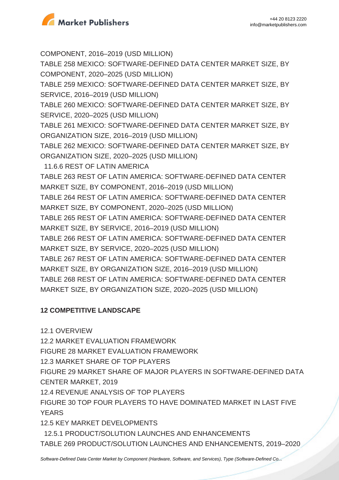

COMPONENT, 2016–2019 (USD MILLION) TABLE 258 MEXICO: SOFTWARE-DEFINED DATA CENTER MARKET SIZE, BY COMPONENT, 2020–2025 (USD MILLION) TABLE 259 MEXICO: SOFTWARE-DEFINED DATA CENTER MARKET SIZE, BY SERVICE, 2016–2019 (USD MILLION) TABLE 260 MEXICO: SOFTWARE-DEFINED DATA CENTER MARKET SIZE, BY SERVICE, 2020–2025 (USD MILLION) TABLE 261 MEXICO: SOFTWARE-DEFINED DATA CENTER MARKET SIZE, BY ORGANIZATION SIZE, 2016–2019 (USD MILLION) TABLE 262 MEXICO: SOFTWARE-DEFINED DATA CENTER MARKET SIZE, BY ORGANIZATION SIZE, 2020–2025 (USD MILLION) 11.6.6 REST OF LATIN AMERICA TABLE 263 REST OF LATIN AMERICA: SOFTWARE-DEFINED DATA CENTER MARKET SIZE, BY COMPONENT, 2016–2019 (USD MILLION) TABLE 264 REST OF LATIN AMERICA: SOFTWARE-DEFINED DATA CENTER MARKET SIZE, BY COMPONENT, 2020–2025 (USD MILLION) TABLE 265 REST OF LATIN AMERICA: SOFTWARE-DEFINED DATA CENTER MARKET SIZE, BY SERVICE, 2016–2019 (USD MILLION) TABLE 266 REST OF LATIN AMERICA: SOFTWARE-DEFINED DATA CENTER MARKET SIZE, BY SERVICE, 2020–2025 (USD MILLION) TABLE 267 REST OF LATIN AMERICA: SOFTWARE-DEFINED DATA CENTER MARKET SIZE, BY ORGANIZATION SIZE, 2016–2019 (USD MILLION) TABLE 268 REST OF LATIN AMERICA: SOFTWARE-DEFINED DATA CENTER MARKET SIZE, BY ORGANIZATION SIZE, 2020–2025 (USD MILLION)

#### **12 COMPETITIVE LANDSCAPE**

12.1 OVERVIEW

12.2 MARKET EVALUATION FRAMEWORK

FIGURE 28 MARKET EVALUATION FRAMEWORK

12.3 MARKET SHARE OF TOP PLAYERS

FIGURE 29 MARKET SHARE OF MAJOR PLAYERS IN SOFTWARE-DEFINED DATA CENTER MARKET, 2019

12.4 REVENUE ANALYSIS OF TOP PLAYERS

FIGURE 30 TOP FOUR PLAYERS TO HAVE DOMINATED MARKET IN LAST FIVE **YEARS** 

12.5 KEY MARKET DEVELOPMENTS

 12.5.1 PRODUCT/SOLUTION LAUNCHES AND ENHANCEMENTS TABLE 269 PRODUCT/SOLUTION LAUNCHES AND ENHANCEMENTS, 2019–2020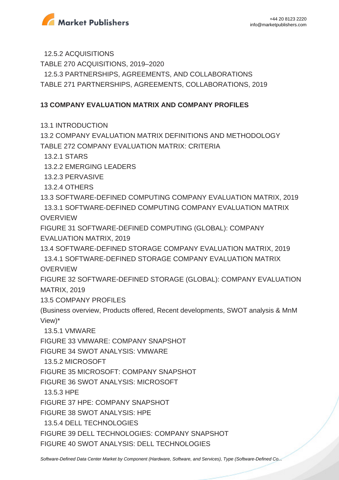

12.5.2 ACQUISITIONS

TABLE 270 ACQUISITIONS, 2019–2020

12.5.3 PARTNERSHIPS, AGREEMENTS, AND COLLABORATIONS

TABLE 271 PARTNERSHIPS, AGREEMENTS, COLLABORATIONS, 2019

# **13 COMPANY EVALUATION MATRIX AND COMPANY PROFILES**

13.1 INTRODUCTION

13.2 COMPANY EVALUATION MATRIX DEFINITIONS AND METHODOLOGY TABLE 272 COMPANY EVALUATION MATRIX: CRITERIA

13.2.1 STARS

13.2.2 EMERGING LEADERS

13.2.3 PERVASIVE

13.2.4 OTHERS

13.3 SOFTWARE-DEFINED COMPUTING COMPANY EVALUATION MATRIX, 2019 13.3.1 SOFTWARE-DEFINED COMPUTING COMPANY EVALUATION MATRIX **OVERVIEW** 

FIGURE 31 SOFTWARE-DEFINED COMPUTING (GLOBAL): COMPANY EVALUATION MATRIX, 2019

13.4 SOFTWARE-DEFINED STORAGE COMPANY EVALUATION MATRIX, 2019 13.4.1 SOFTWARE-DEFINED STORAGE COMPANY EVALUATION MATRIX

**OVERVIEW** 

FIGURE 32 SOFTWARE-DEFINED STORAGE (GLOBAL): COMPANY EVALUATION MATRIX, 2019

13.5 COMPANY PROFILES

(Business overview, Products offered, Recent developments, SWOT analysis & MnM View)\*

13.5.1 VMWARE

FIGURE 33 VMWARE: COMPANY SNAPSHOT

FIGURE 34 SWOT ANALYSIS: VMWARE

13.5.2 MICROSOFT

FIGURE 35 MICROSOFT: COMPANY SNAPSHOT

FIGURE 36 SWOT ANALYSIS: MICROSOFT

13.5.3 HPE

FIGURE 37 HPE: COMPANY SNAPSHOT

FIGURE 38 SWOT ANALYSIS: HPE

13.5.4 DELL TECHNOLOGIES

FIGURE 39 DELL TECHNOLOGIES: COMPANY SNAPSHOT

FIGURE 40 SWOT ANALYSIS: DELL TECHNOLOGIES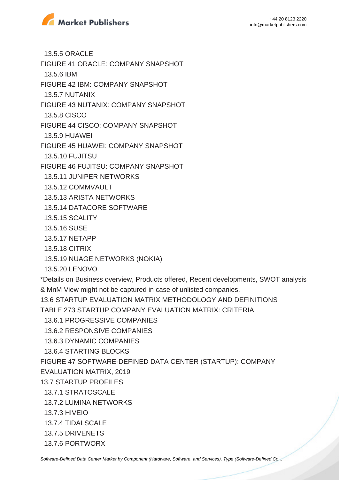

13.5.5 ORACLE

FIGURE 41 ORACLE: COMPANY SNAPSHOT

13.5.6 IBM

FIGURE 42 IBM: COMPANY SNAPSHOT

13.5.7 NUTANIX

FIGURE 43 NUTANIX: COMPANY SNAPSHOT

13.5.8 CISCO

FIGURE 44 CISCO: COMPANY SNAPSHOT

13.5.9 HUAWEI

FIGURE 45 HUAWEI: COMPANY SNAPSHOT

13.5.10 FUJITSU

FIGURE 46 FUJITSU: COMPANY SNAPSHOT

13.5.11 JUNIPER NETWORKS

13.5.12 COMMVAULT

13.5.13 ARISTA NETWORKS

13.5.14 DATACORE SOFTWARE

- 13.5.15 SCALITY
- 13.5.16 SUSE
- 13.5.17 NETAPP
- 13.5.18 CITRIX
- 13.5.19 NUAGE NETWORKS (NOKIA)

13.5.20 LENOVO

\*Details on Business overview, Products offered, Recent developments, SWOT analysis & MnM View might not be captured in case of unlisted companies.

13.6 STARTUP EVALUATION MATRIX METHODOLOGY AND DEFINITIONS

TABLE 273 STARTUP COMPANY EVALUATION MATRIX: CRITERIA

13.6.1 PROGRESSIVE COMPANIES

13.6.2 RESPONSIVE COMPANIES

13.6.3 DYNAMIC COMPANIES

13.6.4 STARTING BLOCKS

FIGURE 47 SOFTWARE-DEFINED DATA CENTER (STARTUP): COMPANY

EVALUATION MATRIX, 2019

- 13.7 STARTUP PROFILES
- 13.7.1 STRATOSCALE
- 13.7.2 LUMINA NETWORKS
- 13.7.3 HIVEIO
- 13.7.4 TIDALSCALE
- 13.7.5 DRIVENETS
- 13.7.6 PORTWORX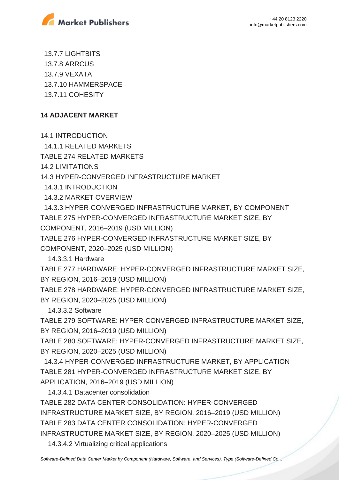

 13.7.7 LIGHTBITS 13.7.8 ARRCUS 13.7.9 VEXATA 13.7.10 HAMMERSPACE 13.7.11 COHESITY

# **14 ADJACENT MARKET**

14.1 INTRODUCTION

14.1.1 RELATED MARKETS

TABLE 274 RELATED MARKETS

14.2 LIMITATIONS

14.3 HYPER-CONVERGED INFRASTRUCTURE MARKET

14.3.1 INTRODUCTION

14.3.2 MARKET OVERVIEW

 14.3.3 HYPER-CONVERGED INFRASTRUCTURE MARKET, BY COMPONENT TABLE 275 HYPER-CONVERGED INFRASTRUCTURE MARKET SIZE, BY COMPONENT, 2016–2019 (USD MILLION)

TABLE 276 HYPER-CONVERGED INFRASTRUCTURE MARKET SIZE, BY COMPONENT, 2020–2025 (USD MILLION)

14.3.3.1 Hardware

TABLE 277 HARDWARE: HYPER-CONVERGED INFRASTRUCTURE MARKET SIZE, BY REGION, 2016–2019 (USD MILLION)

TABLE 278 HARDWARE: HYPER-CONVERGED INFRASTRUCTURE MARKET SIZE, BY REGION, 2020–2025 (USD MILLION)

14.3.3.2 Software

TABLE 279 SOFTWARE: HYPER-CONVERGED INFRASTRUCTURE MARKET SIZE, BY REGION, 2016–2019 (USD MILLION)

TABLE 280 SOFTWARE: HYPER-CONVERGED INFRASTRUCTURE MARKET SIZE, BY REGION, 2020–2025 (USD MILLION)

 14.3.4 HYPER-CONVERGED INFRASTRUCTURE MARKET, BY APPLICATION TABLE 281 HYPER-CONVERGED INFRASTRUCTURE MARKET SIZE, BY APPLICATION, 2016–2019 (USD MILLION)

14.3.4.1 Datacenter consolidation

TABLE 282 DATA CENTER CONSOLIDATION: HYPER-CONVERGED INFRASTRUCTURE MARKET SIZE, BY REGION, 2016–2019 (USD MILLION) TABLE 283 DATA CENTER CONSOLIDATION: HYPER-CONVERGED INFRASTRUCTURE MARKET SIZE, BY REGION, 2020–2025 (USD MILLION)

14.3.4.2 Virtualizing critical applications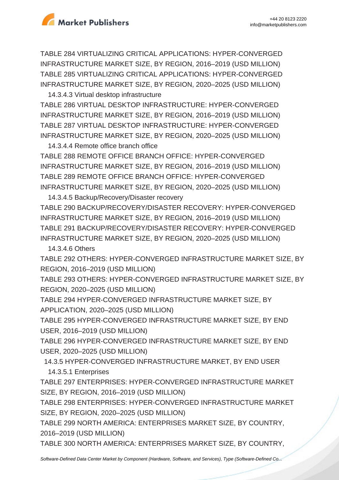

TABLE 284 VIRTUALIZING CRITICAL APPLICATIONS: HYPER-CONVERGED INFRASTRUCTURE MARKET SIZE, BY REGION, 2016–2019 (USD MILLION) TABLE 285 VIRTUALIZING CRITICAL APPLICATIONS: HYPER-CONVERGED INFRASTRUCTURE MARKET SIZE, BY REGION, 2020–2025 (USD MILLION)

 14.3.4.3 Virtual desktop infrastructure TABLE 286 VIRTUAL DESKTOP INFRASTRUCTURE: HYPER-CONVERGED INFRASTRUCTURE MARKET SIZE, BY REGION, 2016–2019 (USD MILLION) TABLE 287 VIRTUAL DESKTOP INFRASTRUCTURE: HYPER-CONVERGED INFRASTRUCTURE MARKET SIZE, BY REGION, 2020–2025 (USD MILLION)

 14.3.4.4 Remote office branch office TABLE 288 REMOTE OFFICE BRANCH OFFICE: HYPER-CONVERGED INFRASTRUCTURE MARKET SIZE, BY REGION, 2016–2019 (USD MILLION) TABLE 289 REMOTE OFFICE BRANCH OFFICE: HYPER-CONVERGED INFRASTRUCTURE MARKET SIZE, BY REGION, 2020–2025 (USD MILLION)

 14.3.4.5 Backup/Recovery/Disaster recovery TABLE 290 BACKUP/RECOVERY/DISASTER RECOVERY: HYPER-CONVERGED INFRASTRUCTURE MARKET SIZE, BY REGION, 2016–2019 (USD MILLION) TABLE 291 BACKUP/RECOVERY/DISASTER RECOVERY: HYPER-CONVERGED INFRASTRUCTURE MARKET SIZE, BY REGION, 2020–2025 (USD MILLION)

14.3.4.6 Others

TABLE 292 OTHERS: HYPER-CONVERGED INFRASTRUCTURE MARKET SIZE, BY REGION, 2016–2019 (USD MILLION)

TABLE 293 OTHERS: HYPER-CONVERGED INFRASTRUCTURE MARKET SIZE, BY REGION, 2020–2025 (USD MILLION)

TABLE 294 HYPER-CONVERGED INFRASTRUCTURE MARKET SIZE, BY APPLICATION, 2020–2025 (USD MILLION)

TABLE 295 HYPER-CONVERGED INFRASTRUCTURE MARKET SIZE, BY END USER, 2016–2019 (USD MILLION)

TABLE 296 HYPER-CONVERGED INFRASTRUCTURE MARKET SIZE, BY END USER, 2020–2025 (USD MILLION)

14.3.5 HYPER-CONVERGED INFRASTRUCTURE MARKET, BY END USER

14.3.5.1 Enterprises

TABLE 297 ENTERPRISES: HYPER-CONVERGED INFRASTRUCTURE MARKET SIZE, BY REGION, 2016–2019 (USD MILLION)

TABLE 298 ENTERPRISES: HYPER-CONVERGED INFRASTRUCTURE MARKET SIZE, BY REGION, 2020–2025 (USD MILLION)

TABLE 299 NORTH AMERICA: ENTERPRISES MARKET SIZE, BY COUNTRY, 2016–2019 (USD MILLION)

TABLE 300 NORTH AMERICA: ENTERPRISES MARKET SIZE, BY COUNTRY,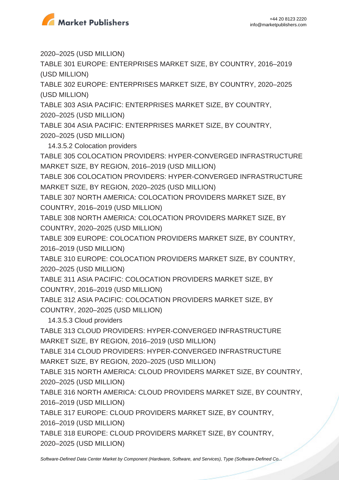

2020–2025 (USD MILLION)

TABLE 301 EUROPE: ENTERPRISES MARKET SIZE, BY COUNTRY, 2016–2019 (USD MILLION)

TABLE 302 EUROPE: ENTERPRISES MARKET SIZE, BY COUNTRY, 2020–2025 (USD MILLION)

TABLE 303 ASIA PACIFIC: ENTERPRISES MARKET SIZE, BY COUNTRY,

2020–2025 (USD MILLION)

TABLE 304 ASIA PACIFIC: ENTERPRISES MARKET SIZE, BY COUNTRY, 2020–2025 (USD MILLION)

14.3.5.2 Colocation providers

TABLE 305 COLOCATION PROVIDERS: HYPER-CONVERGED INFRASTRUCTURE MARKET SIZE, BY REGION, 2016–2019 (USD MILLION)

TABLE 306 COLOCATION PROVIDERS: HYPER-CONVERGED INFRASTRUCTURE MARKET SIZE, BY REGION, 2020–2025 (USD MILLION)

TABLE 307 NORTH AMERICA: COLOCATION PROVIDERS MARKET SIZE, BY COUNTRY, 2016–2019 (USD MILLION)

TABLE 308 NORTH AMERICA: COLOCATION PROVIDERS MARKET SIZE, BY COUNTRY, 2020–2025 (USD MILLION)

TABLE 309 EUROPE: COLOCATION PROVIDERS MARKET SIZE, BY COUNTRY, 2016–2019 (USD MILLION)

TABLE 310 EUROPE: COLOCATION PROVIDERS MARKET SIZE, BY COUNTRY, 2020–2025 (USD MILLION)

TABLE 311 ASIA PACIFIC: COLOCATION PROVIDERS MARKET SIZE, BY COUNTRY, 2016–2019 (USD MILLION)

TABLE 312 ASIA PACIFIC: COLOCATION PROVIDERS MARKET SIZE, BY COUNTRY, 2020–2025 (USD MILLION)

14.3.5.3 Cloud providers

TABLE 313 CLOUD PROVIDERS: HYPER-CONVERGED INFRASTRUCTURE MARKET SIZE, BY REGION, 2016–2019 (USD MILLION)

TABLE 314 CLOUD PROVIDERS: HYPER-CONVERGED INFRASTRUCTURE MARKET SIZE, BY REGION, 2020–2025 (USD MILLION)

TABLE 315 NORTH AMERICA: CLOUD PROVIDERS MARKET SIZE, BY COUNTRY, 2020–2025 (USD MILLION)

TABLE 316 NORTH AMERICA: CLOUD PROVIDERS MARKET SIZE, BY COUNTRY, 2016–2019 (USD MILLION)

TABLE 317 EUROPE: CLOUD PROVIDERS MARKET SIZE, BY COUNTRY, 2016–2019 (USD MILLION)

TABLE 318 EUROPE: CLOUD PROVIDERS MARKET SIZE, BY COUNTRY, 2020–2025 (USD MILLION)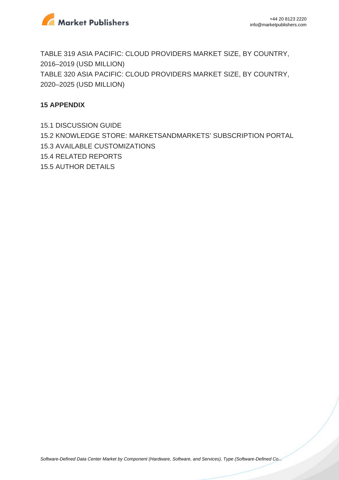

TABLE 319 ASIA PACIFIC: CLOUD PROVIDERS MARKET SIZE, BY COUNTRY, 2016–2019 (USD MILLION) TABLE 320 ASIA PACIFIC: CLOUD PROVIDERS MARKET SIZE, BY COUNTRY, 2020–2025 (USD MILLION)

#### **15 APPENDIX**

15.1 DISCUSSION GUIDE 15.2 KNOWLEDGE STORE: MARKETSANDMARKETS' SUBSCRIPTION PORTAL 15.3 AVAILABLE CUSTOMIZATIONS 15.4 RELATED REPORTS 15.5 AUTHOR DETAILS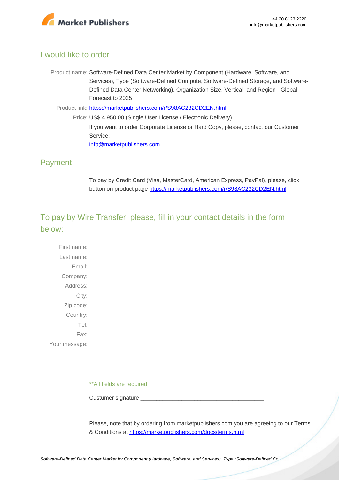

### I would like to order

- Product name: Software-Defined Data Center Market by Component (Hardware, Software, and Services), Type (Software-Defined Compute, Software-Defined Storage, and Software-Defined Data Center Networking), Organization Size, Vertical, and Region - Global Forecast to 2025
	- Product link: [https://marketpublishers.com/r/S98AC232CD2EN.html](https://marketpublishers.com/report/software/application_software/software-defined-data-center-sddc-market-by-solution.html)
		- Price: US\$ 4,950.00 (Single User License / Electronic Delivery) If you want to order Corporate License or Hard Copy, please, contact our Customer Service: [info@marketpublishers.com](mailto:info@marketpublishers.com)

# Payment

To pay by Credit Card (Visa, MasterCard, American Express, PayPal), please, click button on product page [https://marketpublishers.com/r/S98AC232CD2EN.html](https://marketpublishers.com/report/software/application_software/software-defined-data-center-sddc-market-by-solution.html)

# To pay by Wire Transfer, please, fill in your contact details in the form below:

First name: Last name: Email: Company: Address: City: Zip code: Country: Tel: Fax: Your message:

\*\*All fields are required

Custumer signature \_\_\_\_\_\_\_\_\_\_\_\_\_\_\_\_\_\_\_\_\_\_\_\_\_\_\_\_\_\_\_\_\_\_\_\_\_\_\_

Please, note that by ordering from marketpublishers.com you are agreeing to our Terms & Conditions at<https://marketpublishers.com/docs/terms.html>